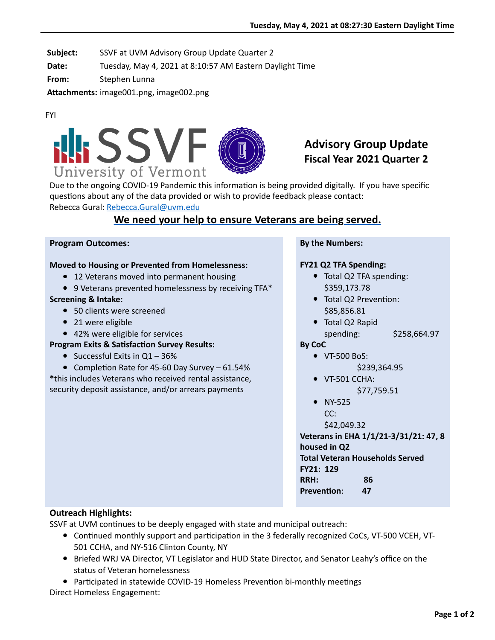**Subject:** SSVF at UVM Advisory Group Update Quarter 2

**Date:** Tuesday, May 4, 2021 at 8:10:57 AM Eastern Daylight Time

**From:** Stephen Lunna

**AFachments:** image001.png, image002.png

#### FYI



# **Advisory Group Update Fiscal Year 2021 Quarter 2**

Due to the ongoing COVID-19 Pandemic this information is being provided digitally. If you have specific questions about any of the data provided or wish to provide feedback please contact: Rebecca Gural: Rebecca.Gural@uvm.edu

## **We need your help to ensure Veterans are being served.**

#### **Program Outcomes:**

## **Moved to Housing or Prevented from Homelessness:**

- 12 Veterans moved into permanent housing
- 9 Veterans prevented homelessness by receiving TFA\*

## **Screening & Intake:**

- 50 clients were screened
- 21 were eligible
- 42% were eligible for services

## **Program Exits & Satisfaction Survey Results:**

- Successful Exits in  $Q1 36%$
- Completion Rate for 45-60 Day Survey  $61.54\%$

**\***this includes Veterans who received rental assistance, security deposit assistance, and/or arrears payments

#### **By the Numbers:**

## **FY21 Q2 TFA Spending:**

- Total Q2 TFA spending: \$359,173.78
- Total Q2 Prevention: \$85,856.81
- Total Q2 Rapid spending: \$258,664.97

## **By CoC**

- VT-500 BoS: \$239,364.95
- VT-501 CCHA:

\$77,759.51

• NY-525 CC:

\$42,049.32

**Veterans in EHA 1/1/21-3/31/21: 47, 8 housed in Q2 Total Veteran Households Served FY21: 129 RRH: 86 Prevention:** 47

## **Outreach Highlights:**

SSVF at UVM continues to be deeply engaged with state and municipal outreach:

- Continued monthly support and participation in the 3 federally recognized CoCs, VT-500 VCEH, VT-501 CCHA, and NY-516 Clinton County, NY
- **Briefed WRJ VA Director, VT Legislator and HUD State Director, and Senator Leahy's office on the** status of Veteran homelessness

• Participated in statewide COVID-19 Homeless Prevention bi-monthly meetings Direct Homeless Engagement: